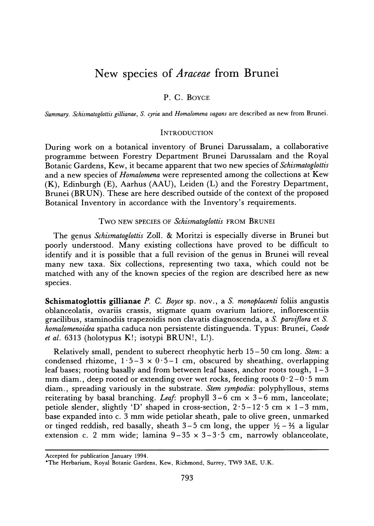# **New species of Araceae from Brunei**

## **P. C. BOYCE**

**Summary. Schismatoglottis gillianae, S. cyria and Homalomena vagans are described as new from Brunei.** 

#### **INTRODUCTION**

**During work on a botanical inventory of Brunei Darussalam, a collaborative programme between Forestry Department Brunei Darussalam and the Royal Botanic Gardens, Kew, it became apparent that two new species of Schismatoglottis and a new species of Homalomena were represented among the collections at Kew (K), Edinburgh (E), Aarhus (AAU), Leiden (L) and the Forestry Department, Brunei (BRUN). These are here described outside of the context of the proposed Botanical Inventory in accordance with the Inventory's requirements.** 

**Two NEW SPECIES OF Schismatoglottis FROM BRUNEI** 

**The genus Schismatoglottis Zoll. & Moritzi is especially diverse in Brunei but poorly understood. Many existing collections have proved to be difficult to identify and it is possible that a full revision of the genus in Brunei will reveal many new taxa. Six collections, representing two taxa, which could not be matched with any of the known species of the region are described here as new species.** 

**Schismatoglottis gillianae P. C. Boyce sp. nov., a S. monoplacenti foliis angustis oblanceolatis, ovariis crassis, stigmate quam ovarium latiore, inflorescentiis gracilibus, staminodiis trapezoidis non clavatis diagnoscenda, a S. parviflora et S. homalomenoidea spatha caduca non persistente distinguenda. Typus: Brunei, Coode et al. 6313 (holotypus K!; isotypi BRUN!, L!).** 

**Relatively small, pendent to suberect rheophytic herb 15-50 cm long. Stem: a**  condensed rhizome,  $1 \cdot 5 - 3 \times 0 \cdot 5 - 1$  cm, obscured by sheathing, overlapping **leaf bases; rooting basally and from between leaf bases, anchor roots tough, 1-3**  mm diam., deep rooted or extending over wet rocks, feeding roots  $0.2 - 0.5$  mm **diam., spreading variously in the substrate. Stem sympodia: polyphyllous, stems**  reiterating by basal branching. Leaf: prophyll  $3-6$  cm  $\times$   $3-6$  mm, lanceolate; petiole slender, slightly 'D' shaped in cross-section,  $2 \cdot 5 - 12 \cdot 5$  cm  $\times$  1-3 mm, **base expanded into c. 3 mm wide petiolar sheath, pale to olive green, unmarked**  or tinged reddish, red basally, sheath  $3-5$  cm long, the upper  $\frac{1}{2} - \frac{2}{3}$  a ligular **extension c. 2 mm wide; lamina 9-35 x 3-3-5 cm, narrowly oblanceolate,** 

**Accepted for publication January 1994.** 

**<sup>\*</sup>The Herbarium, Royal Botanic Gardens, Kew, Richmond, Surrey, TW9 3AE, U.K.**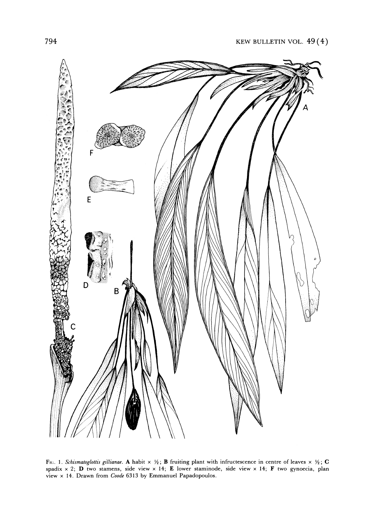

FIG. 1. Schismatoglottis gillianae. A habit  $\times$  1/2; **B** fruiting plant with infructescence in centre of leaves  $\times$  1/2; **C spadix x 2; D two stamens, side view x 14; E lower staminode, side view x 14; F two gynoecia, plan view x 14. Drawn from Coode 6313 by Emmanuel Papadopoulos.**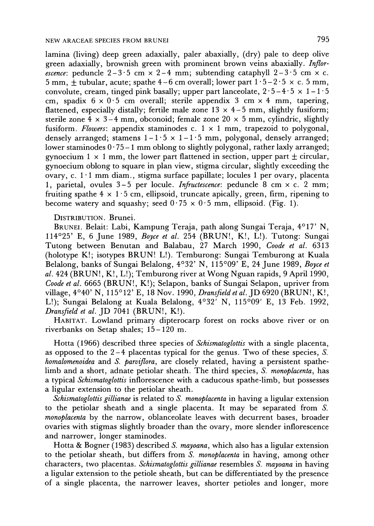**lamina (living) deep green adaxially, paler abaxially, (dry) pale to deep olive**  green adaxially, brownish green with prominent brown veins abaxially. *Inflorescence*: peduncle  $2-3.5$  cm  $\times$   $2-4$  mm; subtending cataphyll  $2-3.5$  cm  $\times$  c.  $5 \text{ mm}, \pm \text{ tubular}, \text{acute}; \text{spather } 4-6 \text{ cm over all}; \text{ lower part } 1 \cdot 5-2 \cdot 5 \times \text{ c. } 5 \text{ mm},$ convolute, cream, tinged pink basally; upper part lanceolate,  $2 \cdot 5 - 4 \cdot 5 \times 1 - 1 \cdot 5$ **cm, spadix 6 x 0-5 cm overall; sterile appendix 3 cm x 4 mm, tapering,**  flattened, especially distally; fertile male zone  $13 \times 4 - 5$  mm, slightly fusiform; sterile zone  $4 \times 3-4$  mm, obconoid; female zone 20  $\times$  5 mm, cylindric, slightly **fusiform. Flowers: appendix staminodes c. 1 x 1 mm, trapezoid to polygonal,**  densely arranged; stamens  $1-1.5 \times 1-1.5$  mm, polygonal, densely arranged; **lower staminodes 0 - 75- 1 mm oblong to slightly polygonal, rather laxly arranged;**  gynoecium  $1 \times 1$  mm, the lower part flattened in section, upper part  $\pm$  circular, **gynoecium oblong to square in plan view, stigma circular, slightly exceeding the ovary, c. 1- 1 mm diam., stigma surface papillate; locules 1 per ovary, placenta 1, parietal, ovules 3-5 per locule. Infructescence: peduncle 8 cm x c. 2 mm;**  fruiting spathe  $4 \times 1.5$  cm, ellipsoid, truncate apically, green, firm, ripening to become watery and squashy; seed  $0.75 \times 0.5$  mm, ellipsoid. (Fig. 1).

## **DISTRIBUTION. Brunei.**

**BRUNEI. Belait: Labi, Kampung Teraja, path along Sungai Teraja, 4017' N, 114025' E, 6 June 1989, Boyce et al. 254 (BRUN!, K!, L!). Tutong: Sungai Tutong between Benutan and Balabau, 27 March 1990, Coode et al. 6313 (holotype K!; isotypes BRUN! L!). Temburong: Sungai Temburong at Kuala Belalong, banks of Sungai Belalong, 4032' N, 115009' E, 24 June 1989, Boyce et al. 424 (BRUN!, K!, L!); Temburong river at Wong Nguan rapids, 9 April 1990, Coode et al. 6665 (BRUN!, K!); Selapon, banks of Sungai Selapon, upriver from village, 4040' N, 115012' E, 18 Nov. 1990, Dransfield et al. JD 6920 (BRUN!, K!,**  L!); Sungai Belalong at Kuala Belalong, 4°32<sup>'</sup> N, 115°09' E, 13 Feb. 1992, **Dransfield et al. JD 7041 (BRUN!, K!).** 

**HABITAT. Lowland primary dipterocarp forest on rocks above river or on riverbanks on Setap shales; 15-120 m.** 

**Hotta (1966) described three species of Schismatoglottis with a single placenta, as opposed to the 2-4 placentas typical for the genus. Two of these species, S. homalomenoidea and S. parvflora, are closely related, having a persistent spathelimb and a short, adnate petiolar sheath. The third species, S. monoplacenta, has a typical Schismatoglottis inflorescence with a caducous spathe-limb, but possesses a ligular extension to the petiolar sheath.** 

**Schismatoglottis gillianae is related to S. monoplacenta in having a ligular extension to the petiolar sheath and a single placenta. It may be separated from S. monoplacenta by the narrow, oblanceolate leaves with decurrent bases, broader ovaries with stigmas slightly broader than the ovary, more slender inflorescence and narrower, longer staminodes.** 

**Hotta & Bogner (1983) described S. mayoana, which also has a ligular extension to the petiolar sheath, but differs from S. monoplacenta in having, among other characters, two placentas. Schismatoglottis gillianae resembles S. mayoana in having a ligular extension to the petiole sheath, but can be differentiated by the presence of a single placenta, the narrower leaves, shorter petioles and longer, more**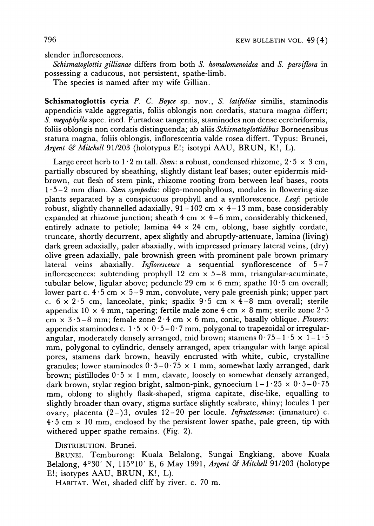**slender inflorescences.** 

**Schismatoglottis gillianae differs from both S. homalomenoidea and S. parviflora in possessing a caducous, not persistent, spathe-limb.** 

**The species is named after my wife Gillian.** 

**Schismatoglottis cyria P. C. Boyce sp. nov., S. latifoliae similis, staminodis appendicis valde aggregatis, foliis oblongis non cordatis, statura magna differt; S. megaphylla spec. ined. Furtadoae tangentis, staminodes non dense cerebriformis, foliis oblongis non cordatis distinguenda; ab aliis Schismatoglottidibus Borneensibus statura magna, foliis oblongis, inflorescentia valde rosea differt. Typus: Brunei, Argent & Mitchell 91/203 (holotypus E!; isotypi AAU, BRUN, K!, L).** 

Large erect herb to  $1 \cdot 2$  m tall. Stem: a robust, condensed rhizome,  $2 \cdot 5 \times 3$  cm, **partially obscured by sheathing, slightly distant leaf bases; outer epidermis midbrown, cut flesh of stem pink, rhizome rooting from between leaf bases, roots 1 -5-2 mm diam. Stem sympodia: oligo-monophyllous, modules in flowering-size plants separated by a conspicuous prophyll and a synflorescence. Leaf: petiole robust, slightly channelled adaxially, 91 - 102 cm x 4- 13 mm, base considerably expanded at rhizome junction; sheath 4 cm x 4-6 mm, considerably thickened, entirely adnate to petiole; lamina 44 x 24 cm, oblong, base sightly cordate, truncate, shortly decurrent, apex slightly and abruptly-attenuate, lamina (living) dark green adaxially, paler abaxially, with impressed primary lateral veins, (dry) olive green adaxially, pale brownish green with prominent pale brown primary lateral veins abaxially. Inflorescence a sequential synflorescence of 5-7 inflorescences: subtending prophyll 12 cm x 5-8 mm, triangular-acuminate,**  tubular below, ligular above; peduncle 29 cm  $\times$  6 mm; spathe 10<sup>-5</sup> cm overall; **lower part c. 4 -5 cm x 5-9 mm, convolute, very pale greenish pink; upper part**  c.  $6 \times 2.5$  cm, lanceolate, pink; spadix  $9.5$  cm  $\times$  4-8 mm overall; sterile appendix 10  $\times$  4 mm, tapering; fertile male zone 4 cm  $\times$  8 mm; sterile zone 2  $\cdot$  5 cm  $\times$  3.5-8 mm; female zone 2.4 cm  $\times$  6 mm, conic, basally oblique. *Flowers*: appendix staminodes c.  $1.5 \times 0.5 - 0.7$  mm, polygonal to trapezoidal or irregularangular, moderately densely arranged, mid brown; stamens  $0.75 - 1.5 \times 1 - 1.5$ **mm, polygonal to cylindric, densely arranged, apex triangular with large apical pores, stamens dark brown, heavily encrusted with white, cubic, crystalline granules; lower staminodes 5-0- 75 x 1 mm, somewhat laxly arranged, dark**  brown; pistillodes  $0.5 \times 1$  mm, clavate, loosely to somewhat densely arranged, dark brown, stylar region bright, salmon-pink, gynoecium  $1 - 1.25 \times 0.5 - 0.75$ **mm, oblong to slightly flask-shaped, stigma capitate, disc-like, equalling to slightly broader than ovary, stigma surface slightly scabrate, shiny; locules 1 per ovary, placenta (2-)3, ovules 12-20 per locule. Infructescence: (immature) c. 4 5 cm x 10 mm, enclosed by the persistent lower spathe, pale green, tip with withered upper spathe remains. (Fig. 2).** 

**DISTRIBUTION. Brunei.** 

**BRUNEI. Temburong: Kuala Belalong, Sungai Engkiang, above Kuala Belalong, 4030' N, 115010' E, 6 May 1991, Argent & Mitchell 91/203 (holotype E!; isotypes AAU, BRUN, K!, L).** 

**HABITAT. Wet, shaded cliff by river, c. 70 m.**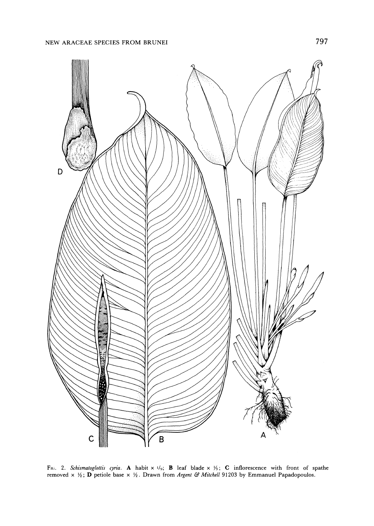

**Fla;. 2. Schismatoglottis cyria. A habit x 1/9; B leaf blade x Y3; C inflorescence with front of spathe removed**  $\times$  $\frac{1}{2}$ **; <b>D** petiole base  $\times$   $\frac{1}{2}$ . Drawn from *Argent & Mitchell* 91203 by Emmanuel Papadopoulos.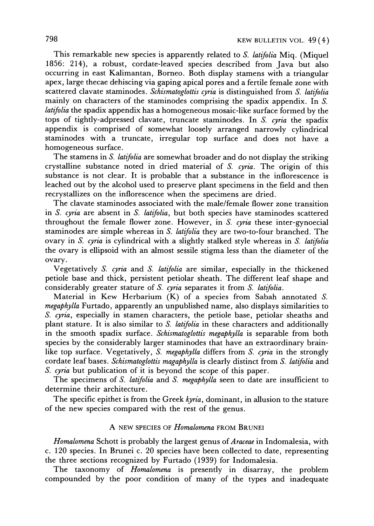**This remarkable new species is apparently related to S. latifolia Miq. (Miquel 1856: 214), a robust, cordate-leaved species described from Java but also occurring in east Kalimantan, Borneo. Both display stamens with a triangular apex, large thecae dehiscing via gaping apical pores and a fertile female zone with scattered clavate staminodes. Schismatoglottis cyria is distinguished from S. latifolia mainly on characters of the staminodes comprising the spadix appendix. In S. latifolia the spadix appendix has a homogeneous mosaic-like surface formed by the tops of tightly-adpressed clavate, truncate staminodes. In S. cyria the spadix appendix is comprised of somewhat loosely arranged narrowly cylindrical staminodes with a truncate, irregular top surface and does not have a homogeneous surface.** 

**The stamens in S. latifolia are somewhat broader and do not display the striking crystalline substance noted in dried material of S. cyria. The origin of this substance is not clear. It is probable that a substance in the inflorescence is leached out by the alcohol used to preserve plant specimens in the field and then recrystallizes on the inflorescence when the specimens are dried.** 

**The clavate staminodes associated with the male/female flower zone transition in S. cyria are absent in S. latifolia, but both species have staminodes scattered throughout the female flower zone. However, in S. cyria these inter-gynoecial staminodes are simple whereas in S. latifolia they are two-to-four branched. The ovary in S. cyria is cylindrical with a slightly stalked style whereas in S. latifolia the ovary is ellipsoid with an almost sessile stigma less than the diameter of the ovary.** 

**Vegetatively S. cyria and S. latifolia are similar, especially in the thickened petiole base and thick, persistent petiolar sheath. The different leaf shape and considerably greater stature of S. cyria separates it from S. latifolia.** 

**Material in Kew Herbarium (K) of a species from Sabah annotated S. megaphylla Furtado, apparently an unpublished name, also displays similarities to S. cyria, especially in stamen characters, the petiole base, petiolar sheaths and plant stature. It is also similar to S. latifolia in these characters and additionally in the smooth spadix surface. Schismatoglottis megaphylla is separable from both species by the considerably larger staminodes that have an extraordinary brain**like top surface. Vegetatively, S. megaphylla differs from S. cyria in the strongly **cordate leaf bases. Schismatoglottis magaphylla is clearly distinct from S. latifolia and S. cyria but publication of it is beyond the scope of this paper.** 

**The specimens of S. latifolia and S. megaphylla seen to date are insufficient to determine their architecture.** 

**The specific epithet is from the Greek kyria, dominant, in allusion to the stature of the new species compared with the rest of the genus.** 

#### **A NEW SPECIES OF Homalomena FROM BRUNEI**

**Homalomena Schott is probably the largest genus of Araceae in Indomalesia, with c. 120 species. In Brunei c. 20 species have been collected to date, representing the three sections recognized by Furtado (1939) for Indomalesia.** 

**The taxonomy of Homalomena is presently in disarray, the problem compounded by the poor condition of many of the types and inadequate**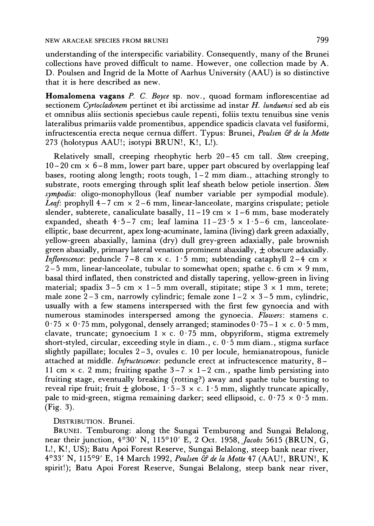**understanding of the interspecific variability. Consequently, many of the Brunei collections have proved difficult to name. However, one collection made by A. D. Poulsen and Ingrid de la Motte of Aarhus University (AAU) is so distinctive that it is here described as new.** 

**Homalomena vagans P. C. Boyce sp. nov., quoad formam inflorescentiae ad sectionem Cyrtocladonem pertinet et ibi arctissime ad instar H. lunduensi sed ab eis et omnibus aliis sectionis speciebus caule repenti, foliis textu tenuibus sine venis lateralibus primariis valde promentibus, appendice spadicis clavata vel fusiformi, infructescentia erecta neque cernua differt. Typus: Brunei, Poulsen & de la Motte 273 (holotypus AAU!; isotypi BRUN!, K!, L!).** 

**Relatively small, creeping rheophytic herb 20-45 cm tall. Stem creeping, 10- 20 cm x 6-8 mm, lower part bare, upper part obscured by overlapping leaf bases, rooting along length; roots tough, 1-2 mm diam., attaching strongly to substrate, roots emerging through split leaf sheath below petiole insertion. Stem sympodia: oligo-monophyllous (leaf number variable per sympodial module). Leaf: prophyll 4 -7 cm x 2-6 mm, linear-lanceolate, margins crispulate; petiole slender, subterete, canaliculate basally,**  $11 - 19$  **cm**  $\times$  **1-6 mm, base moderately** expanded, sheath  $4.5-7$  cm; leaf lamina  $11-23.5 \times 1.5-6$  cm, lanceolate**elliptic, base decurrent, apex long-acuminate, lamina (living) dark green adaxially, yellow-green abaxially, lamina (dry) dull grey-green adaxially, pale brownish**  green abaxially, primary lateral venation prominent abaxially,  $\pm$  obscure adaxially. *Inflorescence*: peduncle  $7-8$  cm  $\times$  c.  $1·5$  mm; subtending cataphyll  $2-4$  cm  $\times$ **2-5 mm, linear-lanceolate, tubular to somewhat open; spathe c. 6 cm x 9 mm, basal third inflated, then constricted and distally tapering, yellow-green in living**  material; spadix  $3-5$  cm  $\times$  1-5 mm overall, stipitate; stipe  $3 \times 1$  mm, terete; male zone  $2-3$  cm, narrowly cylindric; female zone  $1-2 \times 3-5$  mm, cylindric, **usually with a few stamens interspersed with the first few gynoecia and with numerous staminodes interspersed among the gynoecia. Flowers: stamens c.**   $0.75 \times 0.75$  mm, polygonal, densely arranged; staminodes  $0.75-1 \times c.0.5$  mm, clavate, truncate; gynoecium  $1 \times c$ . 0.75 mm, obpyriform, stigma extremely **short-styled, circular, exceeding style in diam., c. 0- 5 mm diam., stigma surface slightly papillate; locules 2-3, ovules c. 10 per locule, hemianatropous, funicle attached at middle. Infructescence: peduncle erect at infructescence maturity, 8-**  11 cm  $\times$  c. 2 mm; fruiting spathe  $3-7 \times 1-2$  cm., spathe limb persisting into **fruiting stage, eventually breaking (rotting?) away and spathe tube bursting to**  reveal ripe fruit; fruit  $\pm$  globose,  $1 \cdot 5 - 3 \times c$ .  $1 \cdot 5$  mm, slightly truncate apically, pale to mid-green, stigma remaining darker; seed ellipsoid, c.  $0.75 \times 0.5$  mm. **(Fig. 3).** 

**DISTRIBUTION. Brunei.** 

**BRUNEI. Temburong: along the Sungai Temburong and Sungai Belalong, near their junction, 4030' N, 115010' E, 2 Oct. 1958, Jacobs 5615 (BRUN, G, L!, K!, US); Batu Apoi Forest Reserve, Sungai Belalong, steep bank near river, 4033' N, 11509' E, 14 March 1992, Poulsen & de la Motte 47 (AAU!, BRUN!, K spirit!); Batu Apoi Forest Reserve, Sungai Belalong, steep bank near river,**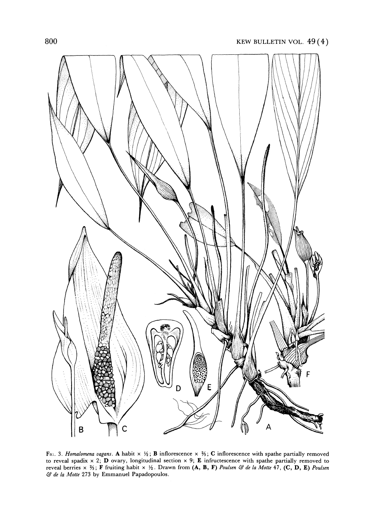

FIG: 3. Homalomena vagans. A habit  $\times \frac{1}{2}$ ; B inflorescence  $\times \frac{2}{3}$ ; C inflorescence with spathe partially removed **to reveal spadix x 2; D ovary, longitudinal section x 9; E infructescence with spathe partially removed to reveal berries x %; F fruiting habit x Y2. Drawn from (A, B, F) Poulsen & de la Motte 47, (C, D, E) Poulsen & de la Motte 273 by Emmanuel Papadopoulos.**